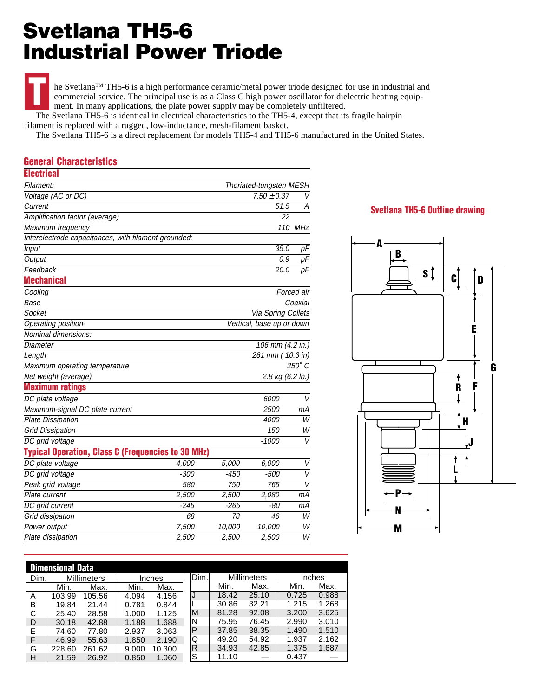## **Svetlana TH5-6 Industrial Power Triode**

he Svetlana™ TH5-6 is a high performance ceramic/metal power triode designed for use in industrial and commercial service. The principal use is as a Class C high power oscillator for dielectric heating equipment. In many applications, the plate power supply may be completely unfiltered. **T**

 The Svetlana TH5-6 is identical in electrical characteristics to the TH5-4, except that its fragile hairpin filament is replaced with a rugged, low-inductance, mesh-filament basket.

The Svetlana TH5-6 is a direct replacement for models TH5-4 and TH5-6 manufactured in the United States.

## **General Characteristics**

| <b>Electrical</b>                                         |        |                           |                            |                |  |  |
|-----------------------------------------------------------|--------|---------------------------|----------------------------|----------------|--|--|
| Filament:                                                 |        | Thoriated-tungsten MESH   |                            |                |  |  |
| Voltage (AC or DC)                                        |        | $7.50 \pm 0.37$           |                            |                |  |  |
| Current                                                   |        | 51.5                      |                            |                |  |  |
| Amplification factor (average)                            |        |                           | 22                         |                |  |  |
| Maximum frequency                                         |        |                           | 110 MHz                    |                |  |  |
| Interelectrode capacitances, with filament grounded:      |        |                           |                            |                |  |  |
| <b>Input</b>                                              |        |                           | 35.0                       | pF             |  |  |
| Output                                                    |        |                           | 0.9                        | pF             |  |  |
| Feedback                                                  |        |                           | 20.0                       | pF             |  |  |
| <b>Mechanical</b>                                         |        |                           |                            |                |  |  |
| Cooling                                                   |        |                           |                            | Forced air     |  |  |
| Base                                                      |        |                           |                            | Coaxial        |  |  |
| Socket                                                    |        | Via Spring Collets        |                            |                |  |  |
| Operating position-                                       |        | Vertical, base up or down |                            |                |  |  |
| Nominal dimensions:                                       |        |                           |                            |                |  |  |
| Diameter                                                  |        |                           | 106 mm (4.2 in.)           |                |  |  |
| Length                                                    |        |                           | 261 mm                     | $10.3$ in)     |  |  |
| Maximum operating temperature                             |        |                           |                            | $250^\circ C$  |  |  |
| Net weight (average)                                      |        |                           | 2.8 kg $(6.2 \text{ lb.})$ |                |  |  |
| <b>Maximum ratings</b>                                    |        |                           |                            |                |  |  |
| DC plate voltage                                          |        |                           | 6000                       | V              |  |  |
| Maximum-signal DC plate current                           |        |                           | 2500                       | mА             |  |  |
| <b>Plate Dissipation</b>                                  |        |                           | 4000                       | W              |  |  |
| <b>Grid Dissipation</b>                                   |        |                           | 150                        | W              |  |  |
| DC grid voltage                                           |        |                           | $-1000$                    | V              |  |  |
| <b>Typical Operation, Class C (Frequencies to 30 MHz)</b> |        |                           |                            |                |  |  |
| DC plate voltage                                          | 4,000  | 5,000                     | 6,000                      | V              |  |  |
| DC grid voltage                                           | $-300$ | $-450$                    | $-500$                     | V              |  |  |
| Peak grid voltage                                         | 580    | 750                       | 765                        | $\overline{V}$ |  |  |
| Plate current                                             | 2,500  | 2,500                     | 2,080                      | mА             |  |  |
| DC grid current                                           | $-245$ | $-265$                    | -80                        | mА             |  |  |
| Grid dissipation                                          | 68     | 78                        | 46                         | W              |  |  |
| Power output                                              | 7,500  | 10,000                    | 10,000                     | W              |  |  |
| Plate dissipation                                         | 2,500  | 2,500                     | 2,500                      | $\overline{W}$ |  |  |

## **Svetlana TH5-6 Outline drawing**



| <b>Dimensional Data</b> |                    |        |               |        |      |                    |       |        |       |  |
|-------------------------|--------------------|--------|---------------|--------|------|--------------------|-------|--------|-------|--|
| Dim.                    | <b>Millimeters</b> |        | <b>Inches</b> |        | Dim. | <b>Millimeters</b> |       | Inches |       |  |
|                         | Min.               | Max.   | Min.          | Max.   |      | Min.               | Max.  | Min.   | Max.  |  |
| A                       | 103.99             | 105.56 | 4.094         | 4.156  | J    | 18.42              | 25.10 | 0.725  | 0.988 |  |
| в                       | 19.84              | 21.44  | 0.781         | 0.844  |      | 30.86              | 32.21 | 1.215  | 1.268 |  |
| C                       | 25.40              | 28.58  | 1.000         | 1.125  | M    | 81.28              | 92.08 | 3.200  | 3.625 |  |
| D                       | 30.18              | 42.88  | 1.188         | 1.688  | N    | 75.95              | 76.45 | 2.990  | 3.010 |  |
| E                       | 74.60              | 77.80  | 2.937         | 3.063  | P    | 37.85              | 38.35 | 1.490  | 1.510 |  |
| F                       | 46.99              | 55.63  | 1.850         | 2.190  | Q    | 49.20              | 54.92 | 1.937  | 2.162 |  |
| G                       | 228.60             | 261.62 | 9.000         | 10.300 | R    | 34.93              | 42.85 | 1.375  | 1.687 |  |
| H                       | 21.59              | 26.92  | 0.850         | 1.060  | S    | 11.10              |       | 0.437  |       |  |